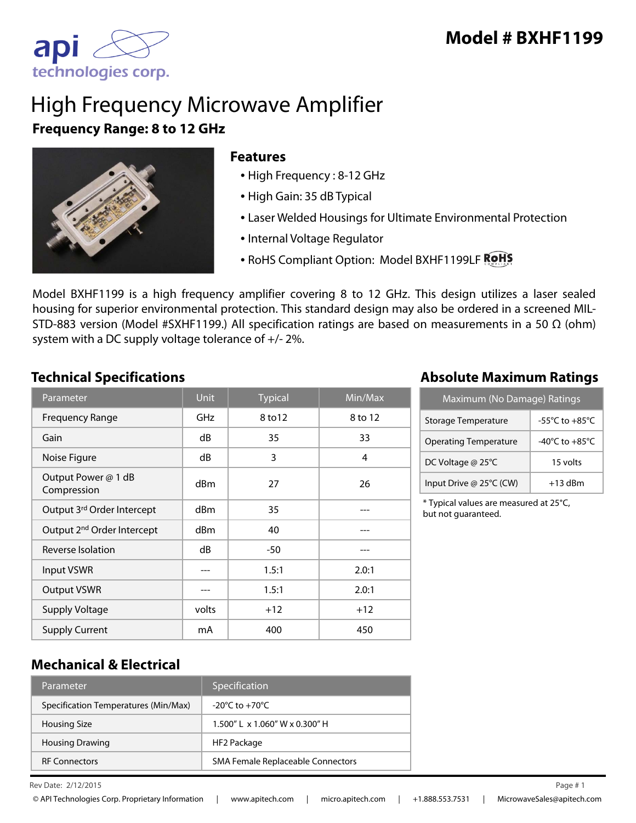

## High Frequency Microwave Amplifier **Frequency Range: 8 to 12 GHz**



#### **Features**

- High Frequency : 8-12 GHz
- High Gain: 35 dB Typical
- Laser Welded Housings for Ultimate Environmental Protection
- Internal Voltage Regulator
- RoHS Compliant Option: Model BXHF1199LF ROHS

Model BXHF1199 is a high frequency amplifier covering 8 to 12 GHz. This design utilizes a laser sealed housing for superior environmental protection. This standard design may also be ordered in a screened MIL-STD-883 version (Model #SXHF1199.) All specification ratings are based on measurements in a 50  $\Omega$  (ohm) system with a DC supply voltage tolerance of +/- 2%.

| Parameter                              | <b>Unit</b>     | <b>Typical</b> | $\overline{\textsf{Min}/\textsf{Max}}$ |
|----------------------------------------|-----------------|----------------|----------------------------------------|
| <b>Frequency Range</b>                 | GHz             | 8 to 12        | 8 to 12                                |
| Gain                                   | dB              | 35             | 33                                     |
| Noise Figure                           | dB              | 3              | 4                                      |
| Output Power @ 1 dB<br>Compression     | dBm             | 27             | 26                                     |
| Output 3rd Order Intercept             | d <sub>Bm</sub> | 35             |                                        |
| Output 2 <sup>nd</sup> Order Intercept | dBm             | 40             |                                        |
| Reverse Isolation                      | dB              | $-50$          |                                        |
| <b>Input VSWR</b>                      | ---             | 1.5:1          | 2.0:1                                  |
| <b>Output VSWR</b>                     |                 | 1.5:1          | 2.0:1                                  |
| <b>Supply Voltage</b>                  | volts           | $+12$          | $+12$                                  |
| <b>Supply Current</b>                  | mA              | 400            | 450                                    |

### **Technical Specifications Absolute Maximum Ratings**

| Maximum (No Damage) Ratings  |                                      |  |
|------------------------------|--------------------------------------|--|
| <b>Storage Temperature</b>   | -55 $^{\circ}$ C to +85 $^{\circ}$ C |  |
| <b>Operating Temperature</b> | $-40^{\circ}$ C to $+85^{\circ}$ C   |  |
| DC Voltage @ 25°C            | 15 volts                             |  |
| Input Drive @ 25°C (CW)      | $+13$ dBm                            |  |

\* Typical values are measured at 25°C, but not guaranteed.

#### **Mechanical & Electrical**

| Parameter                            | Specification                            |
|--------------------------------------|------------------------------------------|
| Specification Temperatures (Min/Max) | $-20^{\circ}$ C to $+70^{\circ}$ C       |
| <b>Housing Size</b>                  | $1.500''$   x $1.060''$ W x 0.300" H     |
| <b>Housing Drawing</b>               | HF2 Package                              |
| <b>RF Connectors</b>                 | <b>SMA Female Replaceable Connectors</b> |

Rev Date: 2/12/2015 **Page #1**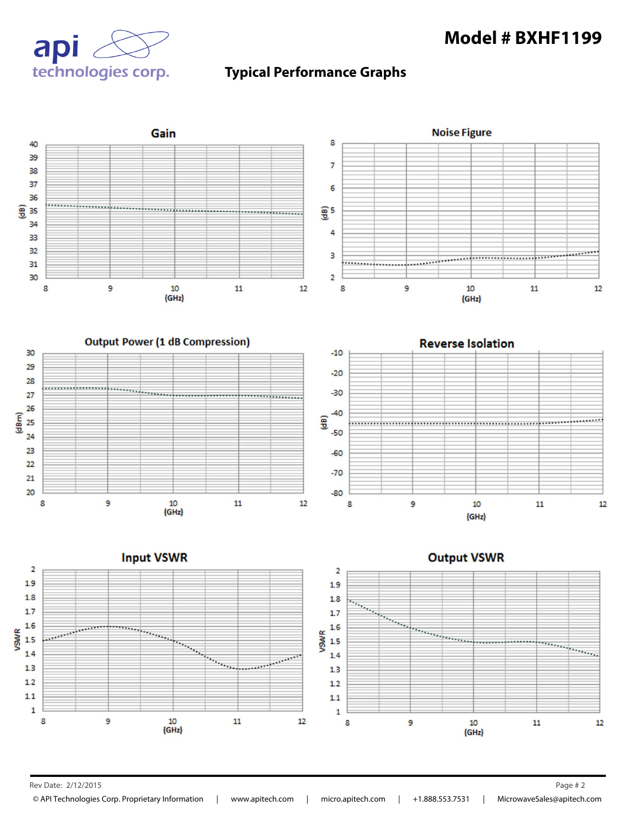## **Model # BXHF1199**







Rev Date: 2/12/2015 Page # 2

© API Technologies Corp. Proprietary Information | www.apitech.com | micro.apitech.com | +1.888.553.7531 | MicrowaveSales@apitech.com